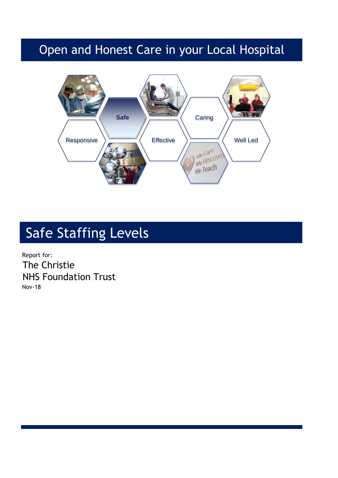## Open and Honest Care in your Local Hospital



# Safe Staffing Levels

Report for: The Christie NHS Foundation Trust Nov-18